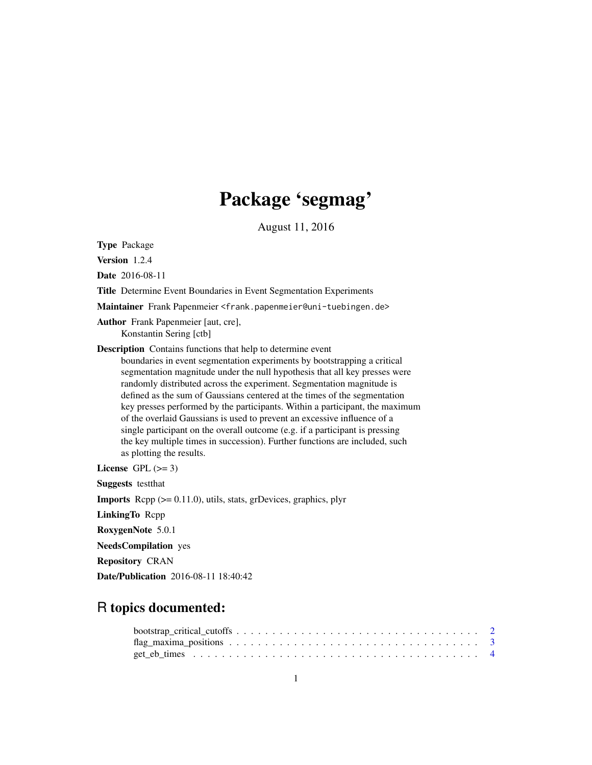## Package 'segmag'

August 11, 2016

Type Package

Version 1.2.4

Date 2016-08-11

Title Determine Event Boundaries in Event Segmentation Experiments

Maintainer Frank Papenmeier <frank.papenmeier@uni-tuebingen.de>

Author Frank Papenmeier [aut, cre], Konstantin Sering [ctb]

Description Contains functions that help to determine event

boundaries in event segmentation experiments by bootstrapping a critical segmentation magnitude under the null hypothesis that all key presses were randomly distributed across the experiment. Segmentation magnitude is defined as the sum of Gaussians centered at the times of the segmentation key presses performed by the participants. Within a participant, the maximum of the overlaid Gaussians is used to prevent an excessive influence of a single participant on the overall outcome (e.g. if a participant is pressing the key multiple times in succession). Further functions are included, such as plotting the results.

License GPL  $(>= 3)$ 

Suggests testthat

**Imports** Rcpp  $(>= 0.11.0)$ , utils, stats, grDevices, graphics, plyr

LinkingTo Rcpp

RoxygenNote 5.0.1

NeedsCompilation yes

Repository CRAN

Date/Publication 2016-08-11 18:40:42

### R topics documented: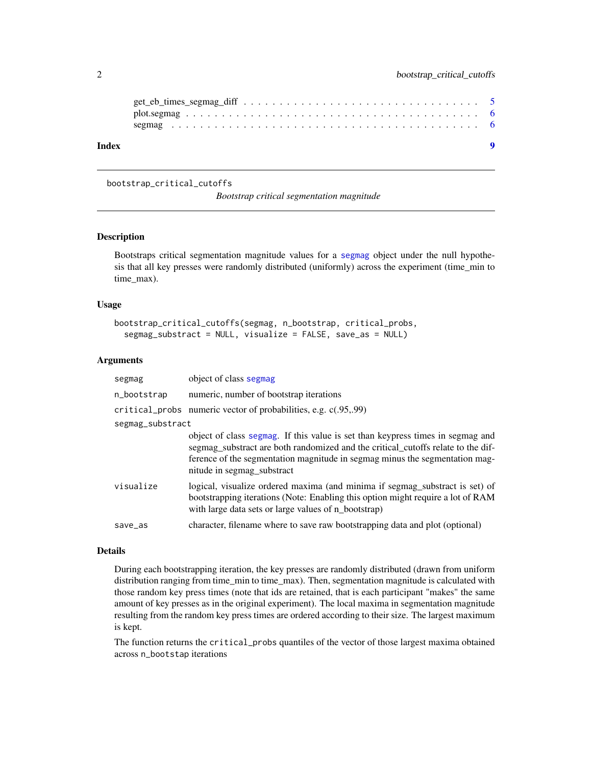<span id="page-1-0"></span>

| Index |  |
|-------|--|
|       |  |
|       |  |

#### <span id="page-1-1"></span>bootstrap\_critical\_cutoffs

*Bootstrap critical segmentation magnitude*

#### Description

Bootstraps critical segmentation magnitude values for a [segmag](#page-5-1) object under the null hypothesis that all key presses were randomly distributed (uniformly) across the experiment (time\_min to time\_max).

#### Usage

```
bootstrap_critical_cutoffs(segmag, n_bootstrap, critical_probs,
  segmag_substract = NULL, visualize = FALSE, save_as = NULL)
```
#### Arguments

| segmag           | object of class segmag                                                                                                                                                                                                                                                          |
|------------------|---------------------------------------------------------------------------------------------------------------------------------------------------------------------------------------------------------------------------------------------------------------------------------|
| n_bootstrap      | numeric, number of bootstrap iterations                                                                                                                                                                                                                                         |
|                  | critical_probs numeric vector of probabilities, e.g. c(.95,.99)                                                                                                                                                                                                                 |
| segmag_substract |                                                                                                                                                                                                                                                                                 |
|                  | object of class segmag. If this value is set than keypress times in segmag and<br>segmag_substract are both randomized and the critical_cutoffs relate to the dif-<br>ference of the segmentation magnitude in segmag minus the segmentation mag-<br>nitude in segmag_substract |
| visualize        | logical, visualize ordered maxima (and minima if segmag_substract is set) of<br>bootstrapping iterations (Note: Enabling this option might require a lot of RAM<br>with large data sets or large values of n_bootstrap)                                                         |
| save_as          | character, filename where to save raw bootstrapping data and plot (optional)                                                                                                                                                                                                    |

#### Details

During each bootstrapping iteration, the key presses are randomly distributed (drawn from uniform distribution ranging from time min to time max). Then, segmentation magnitude is calculated with those random key press times (note that ids are retained, that is each participant "makes" the same amount of key presses as in the original experiment). The local maxima in segmentation magnitude resulting from the random key press times are ordered according to their size. The largest maximum is kept.

The function returns the critical\_probs quantiles of the vector of those largest maxima obtained across n\_bootstap iterations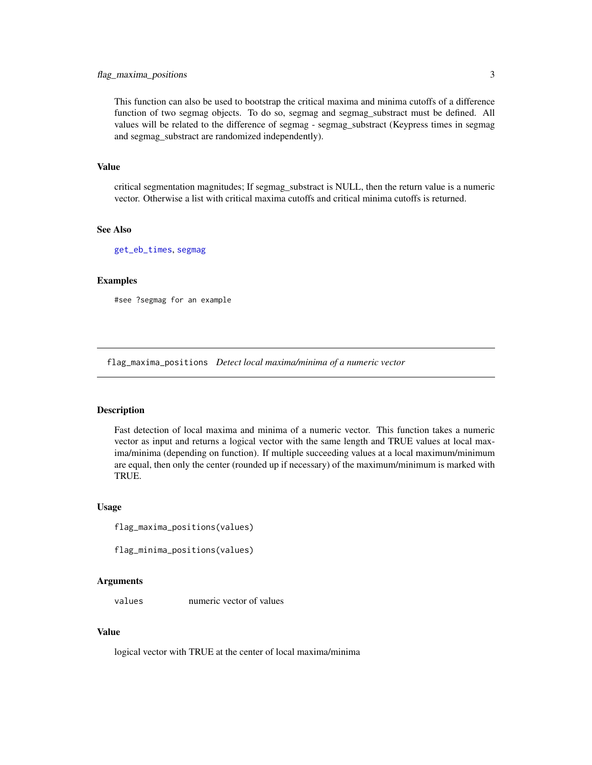#### <span id="page-2-0"></span>flag\_maxima\_positions 3

This function can also be used to bootstrap the critical maxima and minima cutoffs of a difference function of two segmag objects. To do so, segmag and segmag\_substract must be defined. All values will be related to the difference of segmag - segmag\_substract (Keypress times in segmag and segmag\_substract are randomized independently).

#### Value

critical segmentation magnitudes; If segmag\_substract is NULL, then the return value is a numeric vector. Otherwise a list with critical maxima cutoffs and critical minima cutoffs is returned.

#### See Also

[get\\_eb\\_times](#page-3-1), [segmag](#page-5-1)

#### Examples

#see ?segmag for an example

flag\_maxima\_positions *Detect local maxima/minima of a numeric vector*

#### **Description**

Fast detection of local maxima and minima of a numeric vector. This function takes a numeric vector as input and returns a logical vector with the same length and TRUE values at local maxima/minima (depending on function). If multiple succeeding values at a local maximum/minimum are equal, then only the center (rounded up if necessary) of the maximum/minimum is marked with TRUE.

#### Usage

```
flag_maxima_positions(values)
```

```
flag_minima_positions(values)
```
#### Arguments

values numeric vector of values

#### Value

logical vector with TRUE at the center of local maxima/minima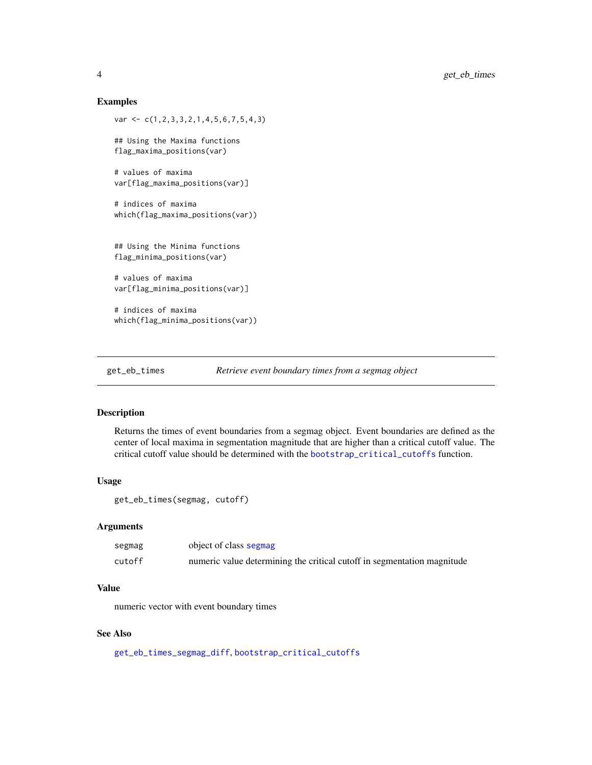#### Examples

```
var <- c(1,2,3,3,2,1,4,5,6,7,5,4,3)
## Using the Maxima functions
flag_maxima_positions(var)
# values of maxima
var[flag_maxima_positions(var)]
# indices of maxima
which(flag_maxima_positions(var))
## Using the Minima functions
flag_minima_positions(var)
# values of maxima
var[flag_minima_positions(var)]
# indices of maxima
which(flag_minima_positions(var))
```
<span id="page-3-1"></span>get\_eb\_times *Retrieve event boundary times from a segmag object*

#### Description

Returns the times of event boundaries from a segmag object. Event boundaries are defined as the center of local maxima in segmentation magnitude that are higher than a critical cutoff value. The critical cutoff value should be determined with the [bootstrap\\_critical\\_cutoffs](#page-1-1) function.

#### Usage

```
get_eb_times(segmag, cutoff)
```
#### Arguments

| segmag | object of class segmag                                                  |
|--------|-------------------------------------------------------------------------|
| cutoff | numeric value determining the critical cutoff in segmentation magnitude |

#### Value

numeric vector with event boundary times

#### See Also

[get\\_eb\\_times\\_segmag\\_diff](#page-4-1), [bootstrap\\_critical\\_cutoffs](#page-1-1)

<span id="page-3-0"></span>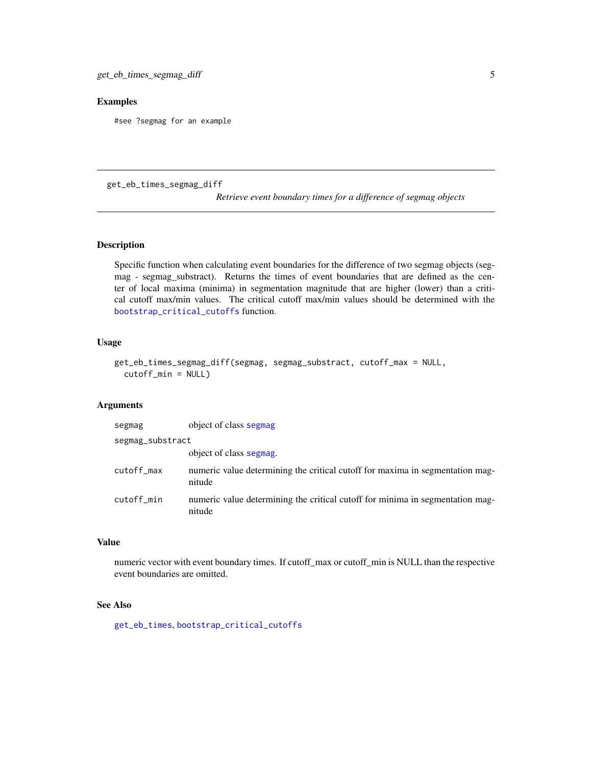#### <span id="page-4-0"></span>Examples

#see ?segmag for an example

<span id="page-4-1"></span>get\_eb\_times\_segmag\_diff

*Retrieve event boundary times for a difference of segmag objects*

#### Description

Specific function when calculating event boundaries for the difference of two segmag objects (segmag - segmag\_substract). Returns the times of event boundaries that are defined as the center of local maxima (minima) in segmentation magnitude that are higher (lower) than a critical cutoff max/min values. The critical cutoff max/min values should be determined with the [bootstrap\\_critical\\_cutoffs](#page-1-1) function.

#### Usage

```
get_eb_times_segmag_diff(segmag, segmag_substract, cutoff_max = NULL,
  cutoff_min = NULL)
```
#### Arguments

| segmag           | object of class segmag                                                                  |
|------------------|-----------------------------------------------------------------------------------------|
| segmag_substract |                                                                                         |
|                  | object of class segmag.                                                                 |
| cutoff_max       | numeric value determining the critical cutoff for maxima in segmentation mag-<br>nitude |
| cutoff min       | numeric value determining the critical cutoff for minima in segmentation mag-<br>nitude |

#### Value

numeric vector with event boundary times. If cutoff\_max or cutoff\_min is NULL than the respective event boundaries are omitted.

#### See Also

[get\\_eb\\_times](#page-3-1), [bootstrap\\_critical\\_cutoffs](#page-1-1)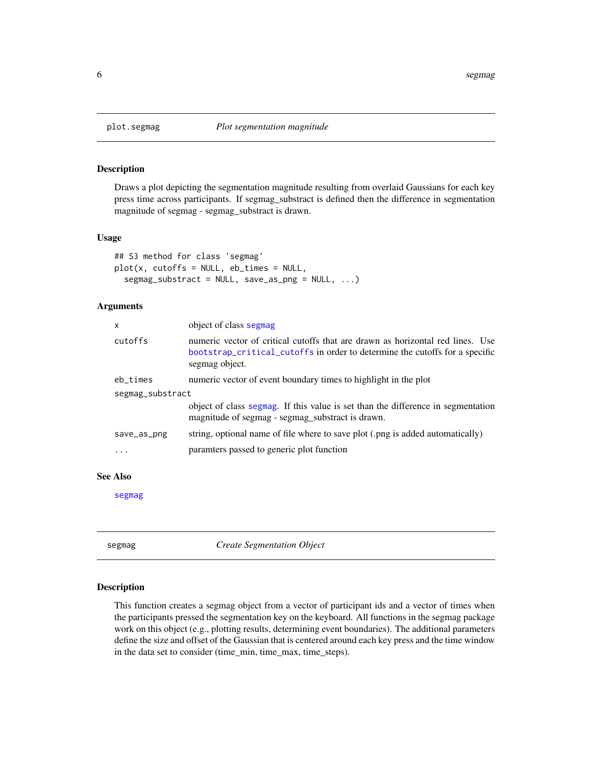<span id="page-5-2"></span><span id="page-5-0"></span>

#### Description

Draws a plot depicting the segmentation magnitude resulting from overlaid Gaussians for each key press time across participants. If segmag\_substract is defined then the difference in segmentation magnitude of segmag - segmag\_substract is drawn.

#### Usage

```
## S3 method for class 'segmag'
plot(x, cutoffs = NULL, eb_times = NULL,segmag_substract = NULL, save_as_png = NULL, ...)
```
#### Arguments

| x                | object of class segmag                                                                                                                                                          |
|------------------|---------------------------------------------------------------------------------------------------------------------------------------------------------------------------------|
| cutoffs          | numeric vector of critical cutoffs that are drawn as horizontal red lines. Use<br>bootstrap_critical_cutoffs in order to determine the cutoffs for a specific<br>segmag object. |
| eb_times         | numeric vector of event boundary times to highlight in the plot                                                                                                                 |
| segmag_substract |                                                                                                                                                                                 |
|                  | object of class segmag. If this value is set than the difference in segmentation<br>magnitude of segmag - segmag substract is drawn.                                            |
| save_as_png      | string, optional name of file where to save plot (png is added automatically)                                                                                                   |
| $\ddotsc$        | paramters passed to generic plot function                                                                                                                                       |
|                  |                                                                                                                                                                                 |

#### See Also

[segmag](#page-5-1)

<span id="page-5-1"></span>segmag *Create Segmentation Object*

#### Description

This function creates a segmag object from a vector of participant ids and a vector of times when the participants pressed the segmentation key on the keyboard. All functions in the segmag package work on this object (e.g., plotting results, determining event boundaries). The additional parameters define the size and offset of the Gaussian that is centered around each key press and the time window in the data set to consider (time\_min, time\_max, time\_steps).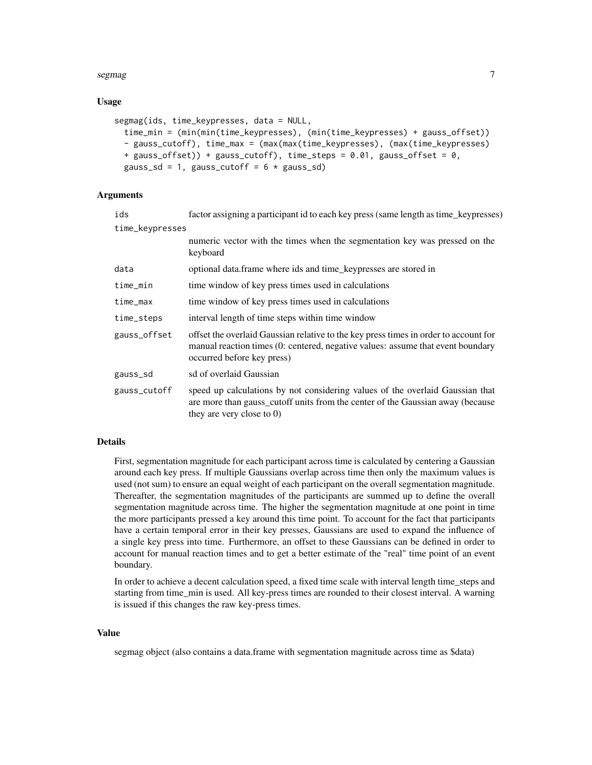#### segmag and the second second second second second second second second second second second second second second second second second second second second second second second second second second second second second seco

#### Usage

```
segmag(ids, time_keypresses, data = NULL,
  time_min = (min(min(time_keypresses), (min(time_keypresses) + gauss_offset))
  - gauss_cutoff), time_max = (max(max(time_keypresses), (max(time_keypresses)
 + gauss_offset)) + gauss_cutoff), time_steps = 0.01, gauss_offset = 0,
 gauss_sd = 1, gauss_cutoff = 6 * gauss_sd)
```
#### Arguments

| ids             | factor assigning a participant id to each key press (same length as time_keypresses)                                                                                                                  |
|-----------------|-------------------------------------------------------------------------------------------------------------------------------------------------------------------------------------------------------|
| time_keypresses |                                                                                                                                                                                                       |
|                 | numeric vector with the times when the segmentation key was pressed on the<br>keyboard                                                                                                                |
| data            | optional data. frame where ids and time_keypresses are stored in                                                                                                                                      |
| time_min        | time window of key press times used in calculations                                                                                                                                                   |
| time_max        | time window of key press times used in calculations                                                                                                                                                   |
| time_steps      | interval length of time steps within time window                                                                                                                                                      |
| gauss_offset    | offset the overlaid Gaussian relative to the key press times in order to account for<br>manual reaction times (0: centered, negative values: assume that event boundary<br>occurred before key press) |
| gauss_sd        | sd of overlaid Gaussian                                                                                                                                                                               |
| gauss_cutoff    | speed up calculations by not considering values of the overlaid Gaussian that<br>are more than gauss_cutoff units from the center of the Gaussian away (because<br>they are very close to $0$ )       |

#### Details

First, segmentation magnitude for each participant across time is calculated by centering a Gaussian around each key press. If multiple Gaussians overlap across time then only the maximum values is used (not sum) to ensure an equal weight of each participant on the overall segmentation magnitude. Thereafter, the segmentation magnitudes of the participants are summed up to define the overall segmentation magnitude across time. The higher the segmentation magnitude at one point in time the more participants pressed a key around this time point. To account for the fact that participants have a certain temporal error in their key presses, Gaussians are used to expand the influence of a single key press into time. Furthermore, an offset to these Gaussians can be defined in order to account for manual reaction times and to get a better estimate of the "real" time point of an event boundary.

In order to achieve a decent calculation speed, a fixed time scale with interval length time\_steps and starting from time\_min is used. All key-press times are rounded to their closest interval. A warning is issued if this changes the raw key-press times.

#### Value

segmag object (also contains a data.frame with segmentation magnitude across time as \$data)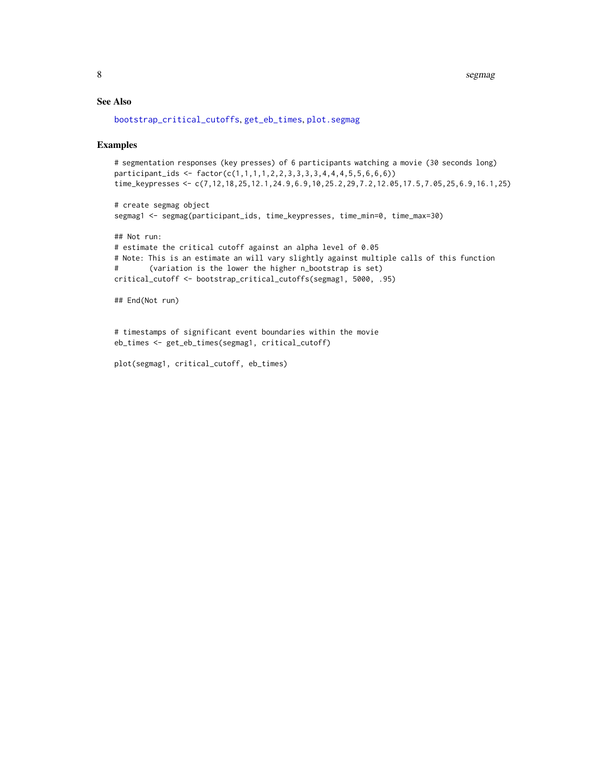<span id="page-7-0"></span>8 segmag pada tahun 1980 segmag pada tahun 1980 segmag pada tahun 1980 segmag pada tahun 1980 segmag pada tahun 1980

#### See Also

[bootstrap\\_critical\\_cutoffs](#page-1-1), [get\\_eb\\_times](#page-3-1), [plot.segmag](#page-5-2)

#### Examples

```
# segmentation responses (key presses) of 6 participants watching a movie (30 seconds long)
participant_ids <- factor(c(1,1,1,1,2,2,3,3,3,3,4,4,4,5,5,6,6,6))
time_keypresses <- c(7,12,18,25,12.1,24.9,6.9,10,25.2,29,7.2,12.05,17.5,7.05,25,6.9,16.1,25)
```

```
# create segmag object
segmag1 <- segmag(participant_ids, time_keypresses, time_min=0, time_max=30)
```
## Not run: # estimate the critical cutoff against an alpha level of 0.05 # Note: This is an estimate an will vary slightly against multiple calls of this function # (variation is the lower the higher n\_bootstrap is set) critical\_cutoff <- bootstrap\_critical\_cutoffs(segmag1, 5000, .95)

```
## End(Not run)
```
# timestamps of significant event boundaries within the movie eb\_times <- get\_eb\_times(segmag1, critical\_cutoff)

```
plot(segmag1, critical_cutoff, eb_times)
```